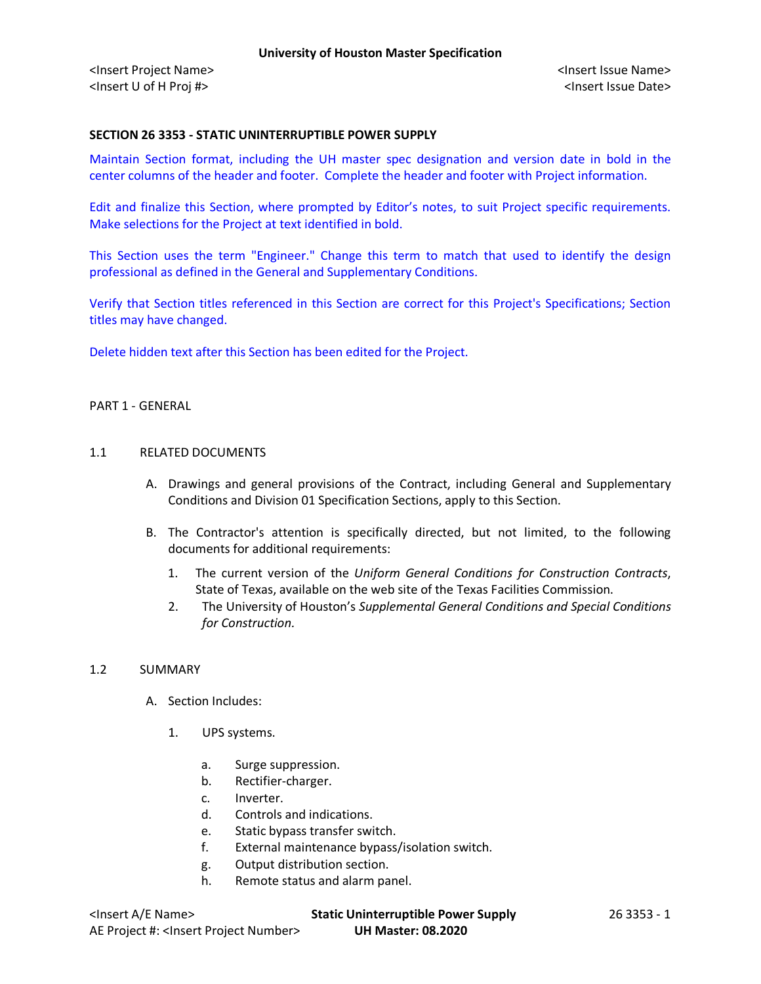## **SECTION 26 3353 - STATIC UNINTERRUPTIBLE POWER SUPPLY**

Maintain Section format, including the UH master spec designation and version date in bold in the center columns of the header and footer. Complete the header and footer with Project information.

Edit and finalize this Section, where prompted by Editor's notes, to suit Project specific requirements. Make selections for the Project at text identified in bold.

This Section uses the term "Engineer." Change this term to match that used to identify the design professional as defined in the General and Supplementary Conditions.

Verify that Section titles referenced in this Section are correct for this Project's Specifications; Section titles may have changed.

Delete hidden text after this Section has been edited for the Project.

#### PART 1 - GENERAL

### 1.1 RELATED DOCUMENTS

- A. Drawings and general provisions of the Contract, including General and Supplementary Conditions and Division 01 Specification Sections, apply to this Section.
- B. The Contractor's attention is specifically directed, but not limited, to the following documents for additional requirements:
	- 1. The current version of the *Uniform General Conditions for Construction Contracts*, State of Texas, available on the web site of the Texas Facilities Commission.
	- 2. The University of Houston's *Supplemental General Conditions and Special Conditions for Construction.*

### 1.2 SUMMARY

- A. Section Includes:
	- 1. UPS systems.
		- a. Surge suppression.
		- b. Rectifier-charger.
		- c. Inverter.
		- d. Controls and indications.
		- e. Static bypass transfer switch.
		- f. External maintenance bypass/isolation switch.
		- g. Output distribution section.
		- h. Remote status and alarm panel.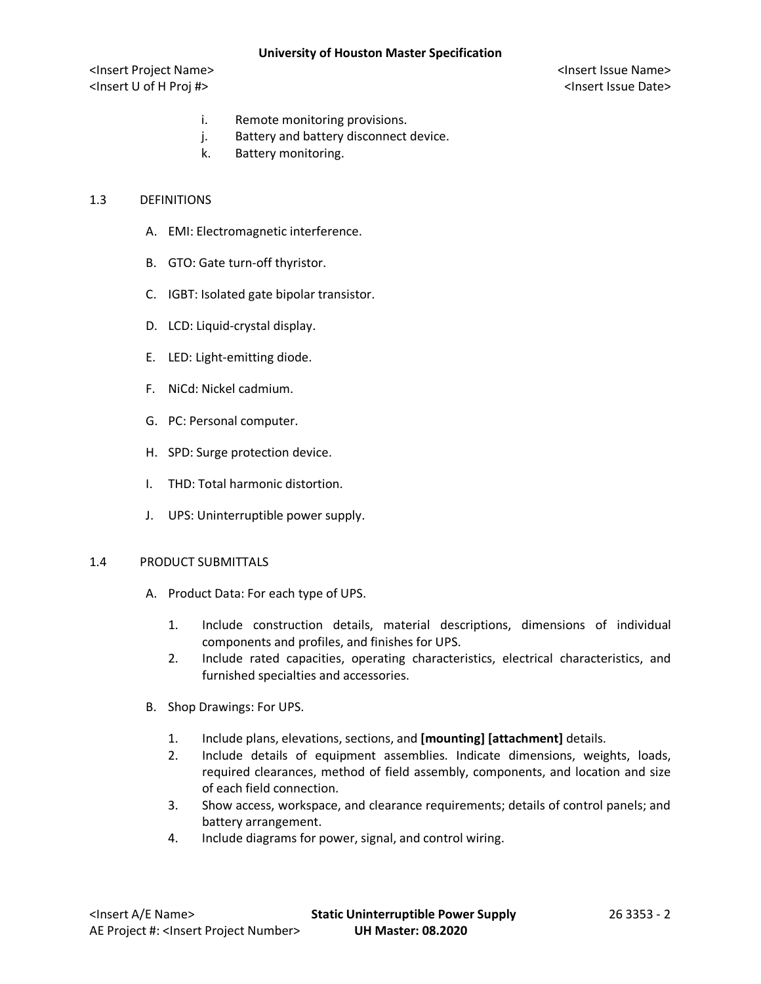<Insert Project Name> <Insert Issue Name> <Insert U of H Proj #> <Insert Issue Date>

- i. Remote monitoring provisions.
- j. Battery and battery disconnect device.
- k. Battery monitoring.

### 1.3 DEFINITIONS

- A. EMI: Electromagnetic interference.
- B. GTO: Gate turn-off thyristor.
- C. IGBT: Isolated gate bipolar transistor.
- D. LCD: Liquid-crystal display.
- E. LED: Light-emitting diode.
- F. NiCd: Nickel cadmium.
- G. PC: Personal computer.
- H. SPD: Surge protection device.
- I. THD: Total harmonic distortion.
- J. UPS: Uninterruptible power supply.

### 1.4 PRODUCT SUBMITTALS

- A. Product Data: For each type of UPS.
	- 1. Include construction details, material descriptions, dimensions of individual components and profiles, and finishes for UPS.
	- 2. Include rated capacities, operating characteristics, electrical characteristics, and furnished specialties and accessories.
- B. Shop Drawings: For UPS.
	- 1. Include plans, elevations, sections, and **[mounting] [attachment]** details.
	- 2. Include details of equipment assemblies. Indicate dimensions, weights, loads, required clearances, method of field assembly, components, and location and size of each field connection.
	- 3. Show access, workspace, and clearance requirements; details of control panels; and battery arrangement.
	- 4. Include diagrams for power, signal, and control wiring.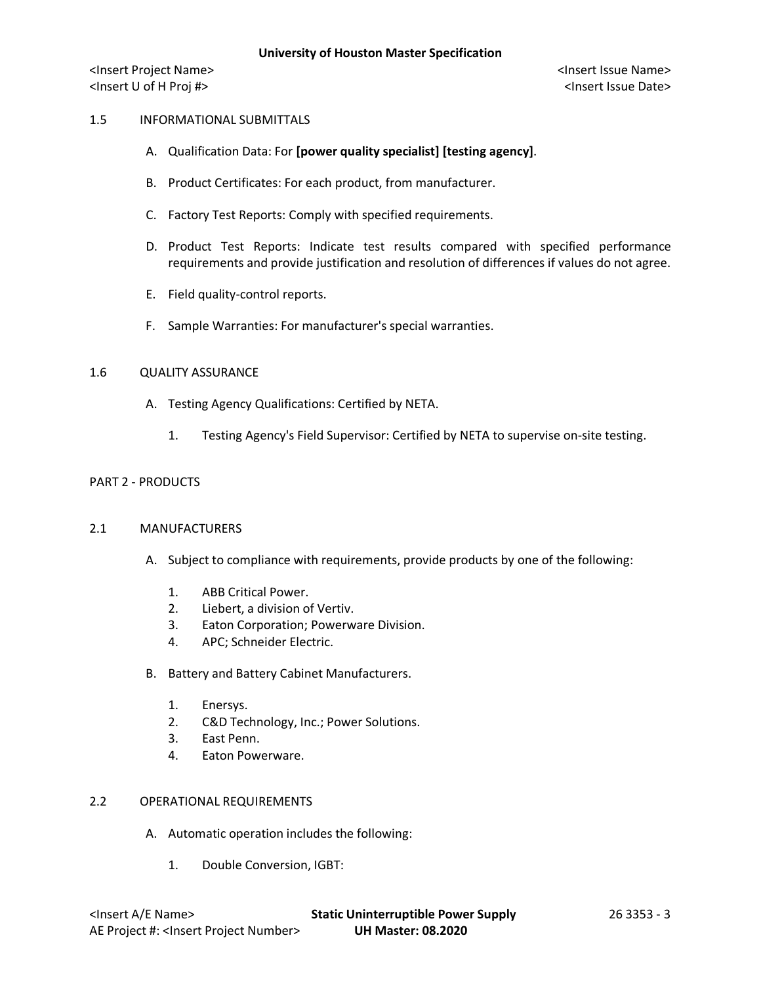## 1.5 INFORMATIONAL SUBMITTALS

- A. Qualification Data: For **[power quality specialist] [testing agency]**.
- B. Product Certificates: For each product, from manufacturer.
- C. Factory Test Reports: Comply with specified requirements.
- D. Product Test Reports: Indicate test results compared with specified performance requirements and provide justification and resolution of differences if values do not agree.
- E. Field quality-control reports.
- F. Sample Warranties: For manufacturer's special warranties.

# 1.6 QUALITY ASSURANCE

- A. Testing Agency Qualifications: Certified by NETA.
	- 1. Testing Agency's Field Supervisor: Certified by NETA to supervise on-site testing.

### PART 2 - PRODUCTS

### 2.1 MANUFACTURERS

- A. Subject to compliance with requirements, provide products by one of the following:
	- 1. ABB Critical Power.
	- 2. Liebert, a division of Vertiv.
	- 3. Eaton Corporation; Powerware Division.
	- 4. APC; Schneider Electric.
- B. Battery and Battery Cabinet Manufacturers.
	- 1. Enersys.
	- 2. C&D Technology, Inc.; Power Solutions.
	- 3. East Penn.
	- 4. Eaton Powerware.

# 2.2 OPERATIONAL REQUIREMENTS

- A. Automatic operation includes the following:
	- 1. Double Conversion, IGBT: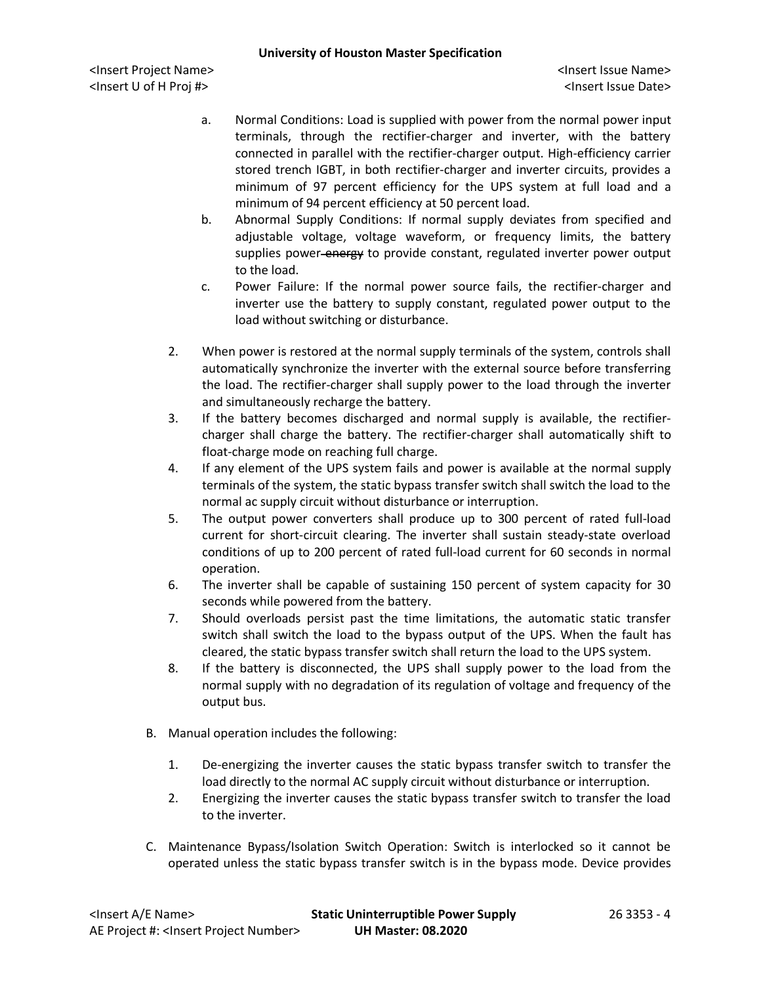- a. Normal Conditions: Load is supplied with power from the normal power input terminals, through the rectifier-charger and inverter, with the battery connected in parallel with the rectifier-charger output. High-efficiency carrier stored trench IGBT, in both rectifier-charger and inverter circuits, provides a minimum of 97 percent efficiency for the UPS system at full load and a minimum of 94 percent efficiency at 50 percent load.
- b. Abnormal Supply Conditions: If normal supply deviates from specified and adjustable voltage, voltage waveform, or frequency limits, the battery supplies power-energy to provide constant, regulated inverter power output to the load.
- c. Power Failure: If the normal power source fails, the rectifier-charger and inverter use the battery to supply constant, regulated power output to the load without switching or disturbance.
- 2. When power is restored at the normal supply terminals of the system, controls shall automatically synchronize the inverter with the external source before transferring the load. The rectifier-charger shall supply power to the load through the inverter and simultaneously recharge the battery.
- 3. If the battery becomes discharged and normal supply is available, the rectifiercharger shall charge the battery. The rectifier-charger shall automatically shift to float-charge mode on reaching full charge.
- 4. If any element of the UPS system fails and power is available at the normal supply terminals of the system, the static bypass transfer switch shall switch the load to the normal ac supply circuit without disturbance or interruption.
- 5. The output power converters shall produce up to 300 percent of rated full-load current for short-circuit clearing. The inverter shall sustain steady-state overload conditions of up to 200 percent of rated full-load current for 60 seconds in normal operation.
- 6. The inverter shall be capable of sustaining 150 percent of system capacity for 30 seconds while powered from the battery.
- 7. Should overloads persist past the time limitations, the automatic static transfer switch shall switch the load to the bypass output of the UPS. When the fault has cleared, the static bypass transfer switch shall return the load to the UPS system.
- 8. If the battery is disconnected, the UPS shall supply power to the load from the normal supply with no degradation of its regulation of voltage and frequency of the output bus.
- B. Manual operation includes the following:
	- 1. De-energizing the inverter causes the static bypass transfer switch to transfer the load directly to the normal AC supply circuit without disturbance or interruption.
	- 2. Energizing the inverter causes the static bypass transfer switch to transfer the load to the inverter.
- C. Maintenance Bypass/Isolation Switch Operation: Switch is interlocked so it cannot be operated unless the static bypass transfer switch is in the bypass mode. Device provides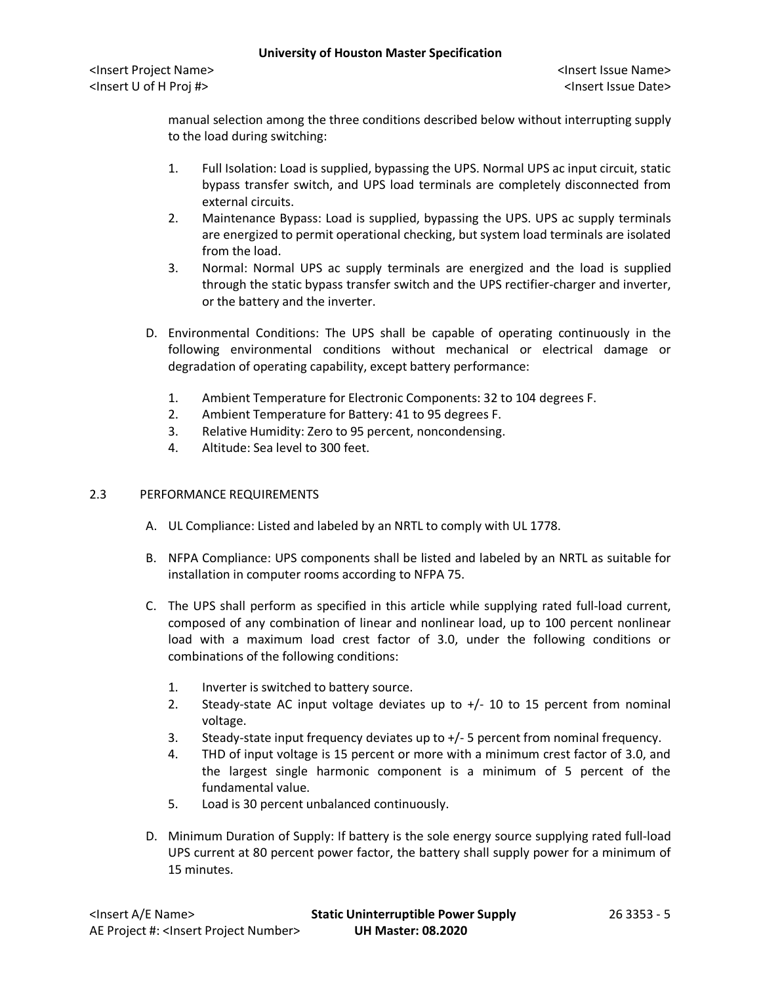manual selection among the three conditions described below without interrupting supply to the load during switching:

- 1. Full Isolation: Load is supplied, bypassing the UPS. Normal UPS ac input circuit, static bypass transfer switch, and UPS load terminals are completely disconnected from external circuits.
- 2. Maintenance Bypass: Load is supplied, bypassing the UPS. UPS ac supply terminals are energized to permit operational checking, but system load terminals are isolated from the load.
- 3. Normal: Normal UPS ac supply terminals are energized and the load is supplied through the static bypass transfer switch and the UPS rectifier-charger and inverter, or the battery and the inverter.
- D. Environmental Conditions: The UPS shall be capable of operating continuously in the following environmental conditions without mechanical or electrical damage or degradation of operating capability, except battery performance:
	- 1. Ambient Temperature for Electronic Components: 32 to 104 degrees F.
	- 2. Ambient Temperature for Battery: 41 to 95 degrees F.
	- 3. Relative Humidity: Zero to 95 percent, noncondensing.
	- 4. Altitude: Sea level to 300 feet.

# 2.3 PERFORMANCE REQUIREMENTS

- A. UL Compliance: Listed and labeled by an NRTL to comply with UL 1778.
- B. NFPA Compliance: UPS components shall be listed and labeled by an NRTL as suitable for installation in computer rooms according to NFPA 75.
- C. The UPS shall perform as specified in this article while supplying rated full-load current, composed of any combination of linear and nonlinear load, up to 100 percent nonlinear load with a maximum load crest factor of 3.0, under the following conditions or combinations of the following conditions:
	- 1. Inverter is switched to battery source.
	- 2. Steady-state AC input voltage deviates up to +/- 10 to 15 percent from nominal voltage.
	- 3. Steady-state input frequency deviates up to +/- 5 percent from nominal frequency.
	- 4. THD of input voltage is 15 percent or more with a minimum crest factor of 3.0, and the largest single harmonic component is a minimum of 5 percent of the fundamental value.
	- 5. Load is 30 percent unbalanced continuously.
- D. Minimum Duration of Supply: If battery is the sole energy source supplying rated full-load UPS current at 80 percent power factor, the battery shall supply power for a minimum of 15 minutes.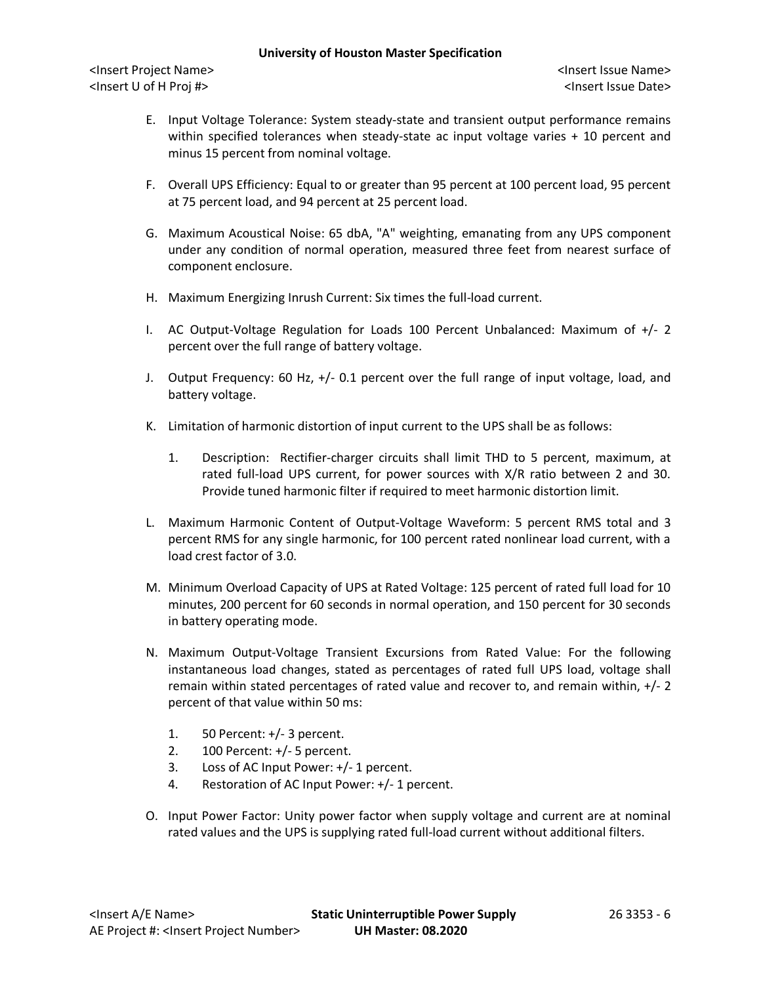- E. Input Voltage Tolerance: System steady-state and transient output performance remains within specified tolerances when steady-state ac input voltage varies + 10 percent and minus 15 percent from nominal voltage.
- F. Overall UPS Efficiency: Equal to or greater than 95 percent at 100 percent load, 95 percent at 75 percent load, and 94 percent at 25 percent load.
- G. Maximum Acoustical Noise: 65 dbA, "A" weighting, emanating from any UPS component under any condition of normal operation, measured three feet from nearest surface of component enclosure.
- H. Maximum Energizing Inrush Current: Six times the full-load current.
- I. AC Output-Voltage Regulation for Loads 100 Percent Unbalanced: Maximum of +/- 2 percent over the full range of battery voltage.
- J. Output Frequency: 60 Hz, +/- 0.1 percent over the full range of input voltage, load, and battery voltage.
- K. Limitation of harmonic distortion of input current to the UPS shall be as follows:
	- 1. Description: Rectifier-charger circuits shall limit THD to 5 percent, maximum, at rated full-load UPS current, for power sources with X/R ratio between 2 and 30. Provide tuned harmonic filter if required to meet harmonic distortion limit.
- L. Maximum Harmonic Content of Output-Voltage Waveform: 5 percent RMS total and 3 percent RMS for any single harmonic, for 100 percent rated nonlinear load current, with a load crest factor of 3.0.
- M. Minimum Overload Capacity of UPS at Rated Voltage: 125 percent of rated full load for 10 minutes, 200 percent for 60 seconds in normal operation, and 150 percent for 30 seconds in battery operating mode.
- N. Maximum Output-Voltage Transient Excursions from Rated Value: For the following instantaneous load changes, stated as percentages of rated full UPS load, voltage shall remain within stated percentages of rated value and recover to, and remain within, +/- 2 percent of that value within 50 ms:
	- 1. 50 Percent: +/- 3 percent.
	- 2. 100 Percent: +/- 5 percent.
	- 3. Loss of AC Input Power: +/- 1 percent.
	- 4. Restoration of AC Input Power: +/- 1 percent.
- O. Input Power Factor: Unity power factor when supply voltage and current are at nominal rated values and the UPS is supplying rated full-load current without additional filters.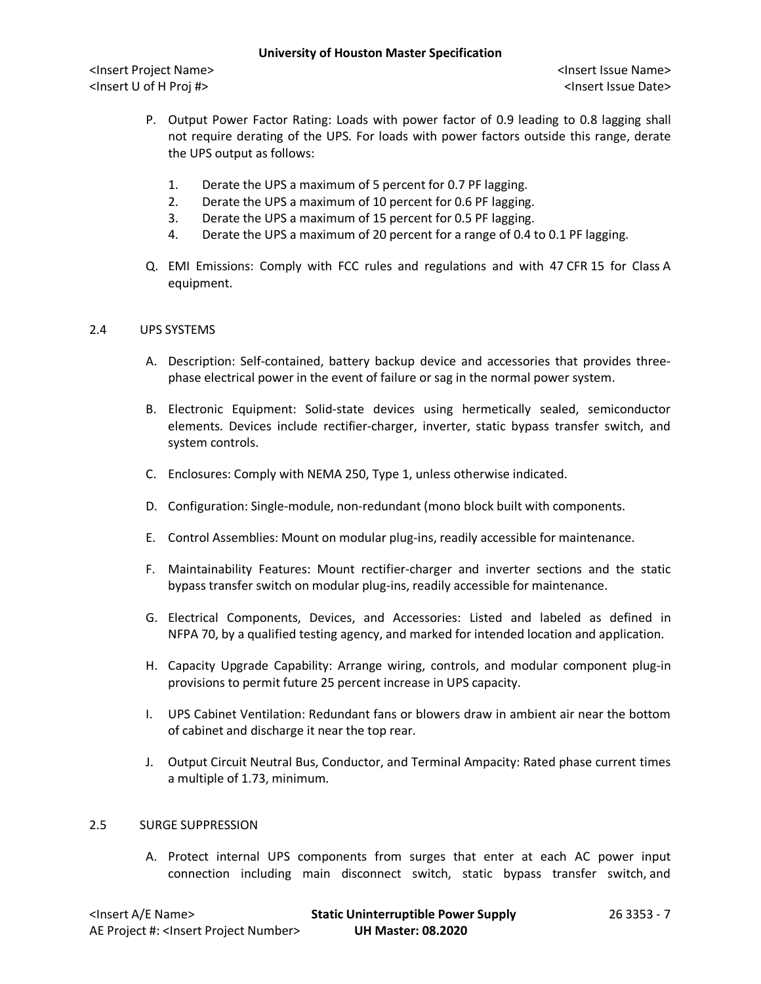<Insert Project Name> <Insert Issue Name> <Insert U of H Proj #> <Insert Issue Date>

- P. Output Power Factor Rating: Loads with power factor of 0.9 leading to 0.8 lagging shall not require derating of the UPS. For loads with power factors outside this range, derate the UPS output as follows:
	- 1. Derate the UPS a maximum of 5 percent for 0.7 PF lagging.
	- 2. Derate the UPS a maximum of 10 percent for 0.6 PF lagging.
	- 3. Derate the UPS a maximum of 15 percent for 0.5 PF lagging.
	- 4. Derate the UPS a maximum of 20 percent for a range of 0.4 to 0.1 PF lagging.
- Q. EMI Emissions: Comply with FCC rules and regulations and with 47 CFR 15 for Class A equipment.

# 2.4 UPS SYSTEMS

- A. Description: Self-contained, battery backup device and accessories that provides threephase electrical power in the event of failure or sag in the normal power system.
- B. Electronic Equipment: Solid-state devices using hermetically sealed, semiconductor elements. Devices include rectifier-charger, inverter, static bypass transfer switch, and system controls.
- C. Enclosures: Comply with NEMA 250, Type 1, unless otherwise indicated.
- D. Configuration: Single-module, non-redundant (mono block built with components.
- E. Control Assemblies: Mount on modular plug-ins, readily accessible for maintenance.
- F. Maintainability Features: Mount rectifier-charger and inverter sections and the static bypass transfer switch on modular plug-ins, readily accessible for maintenance.
- G. Electrical Components, Devices, and Accessories: Listed and labeled as defined in NFPA 70, by a qualified testing agency, and marked for intended location and application.
- H. Capacity Upgrade Capability: Arrange wiring, controls, and modular component plug-in provisions to permit future 25 percent increase in UPS capacity.
- I. UPS Cabinet Ventilation: Redundant fans or blowers draw in ambient air near the bottom of cabinet and discharge it near the top rear.
- J. Output Circuit Neutral Bus, Conductor, and Terminal Ampacity: Rated phase current times a multiple of 1.73, minimum.

### 2.5 SURGE SUPPRESSION

A. Protect internal UPS components from surges that enter at each AC power input connection including main disconnect switch, static bypass transfer switch, and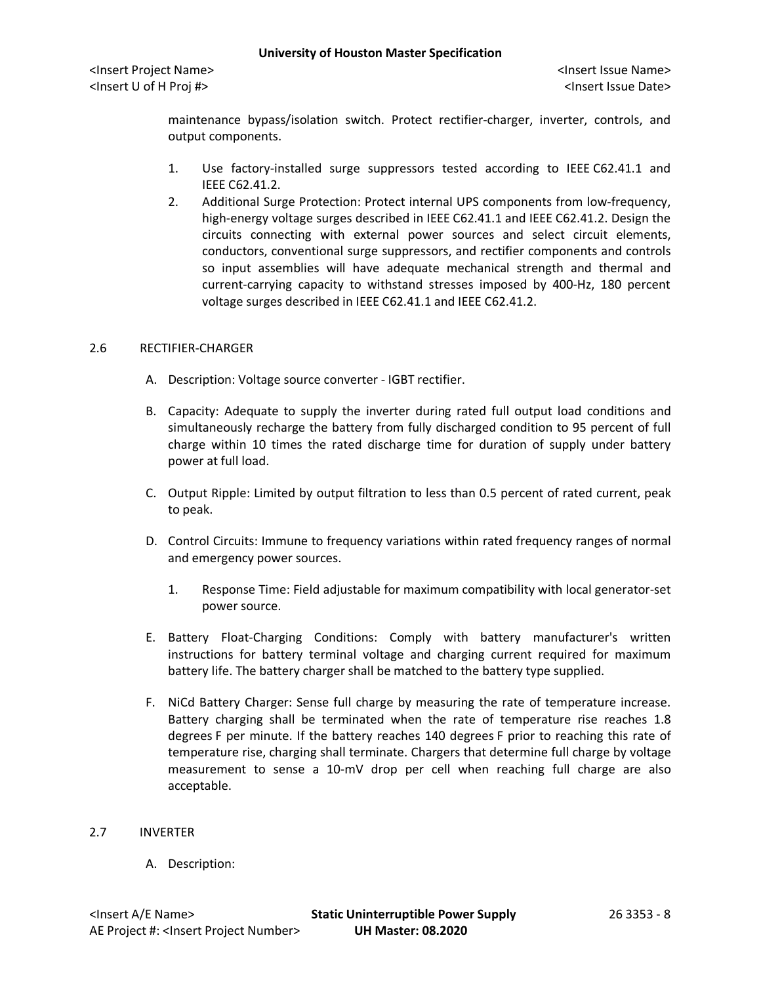maintenance bypass/isolation switch. Protect rectifier-charger, inverter, controls, and output components.

- 1. Use factory-installed surge suppressors tested according to IEEE C62.41.1 and IEEE C62.41.2.
- 2. Additional Surge Protection: Protect internal UPS components from low-frequency, high-energy voltage surges described in IEEE C62.41.1 and IEEE C62.41.2. Design the circuits connecting with external power sources and select circuit elements, conductors, conventional surge suppressors, and rectifier components and controls so input assemblies will have adequate mechanical strength and thermal and current-carrying capacity to withstand stresses imposed by 400-Hz, 180 percent voltage surges described in IEEE C62.41.1 and IEEE C62.41.2.

### 2.6 RECTIFIER-CHARGER

- A. Description: Voltage source converter IGBT rectifier.
- B. Capacity: Adequate to supply the inverter during rated full output load conditions and simultaneously recharge the battery from fully discharged condition to 95 percent of full charge within 10 times the rated discharge time for duration of supply under battery power at full load.
- C. Output Ripple: Limited by output filtration to less than 0.5 percent of rated current, peak to peak.
- D. Control Circuits: Immune to frequency variations within rated frequency ranges of normal and emergency power sources.
	- 1. Response Time: Field adjustable for maximum compatibility with local generator-set power source.
- E. Battery Float-Charging Conditions: Comply with battery manufacturer's written instructions for battery terminal voltage and charging current required for maximum battery life. The battery charger shall be matched to the battery type supplied.
- F. NiCd Battery Charger: Sense full charge by measuring the rate of temperature increase. Battery charging shall be terminated when the rate of temperature rise reaches 1.8 degrees F per minute. If the battery reaches 140 degrees F prior to reaching this rate of temperature rise, charging shall terminate. Chargers that determine full charge by voltage measurement to sense a 10-mV drop per cell when reaching full charge are also acceptable.

### 2.7 INVERTER

A. Description: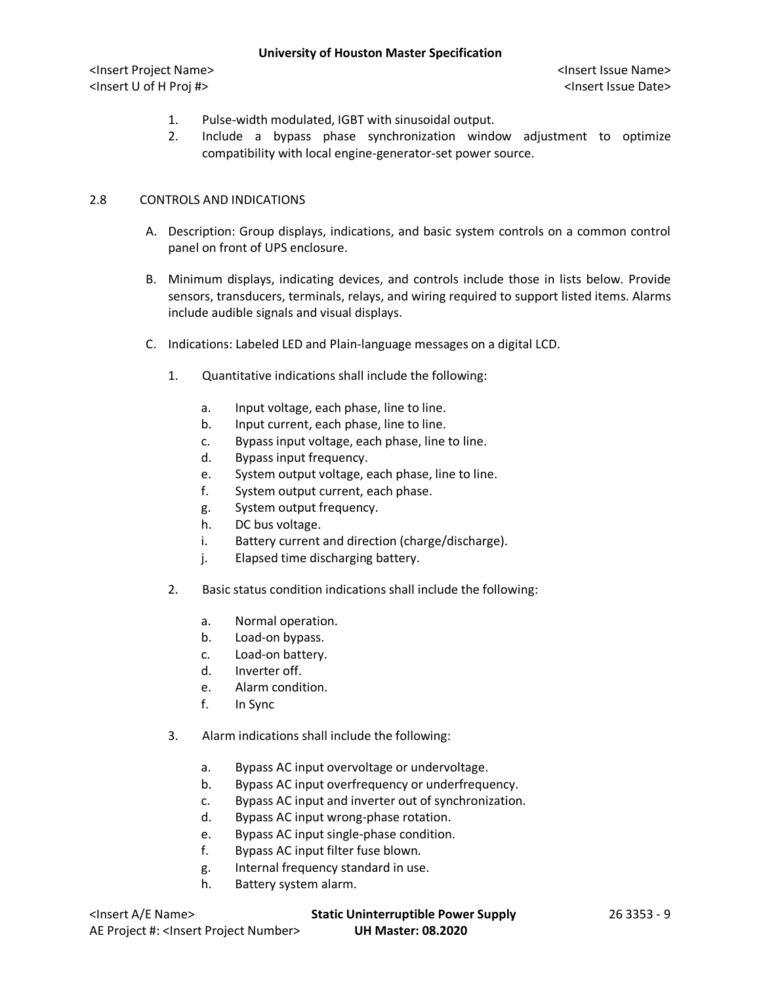<Insert Project Name> <Insert Issue Name> <Insert U of H Proj #> <Insert Issue Date>

- 1. Pulse-width modulated, IGBT with sinusoidal output.
- 2. Include a bypass phase synchronization window adjustment to optimize compatibility with local engine-generator-set power source.

# 2.8 CONTROLS AND INDICATIONS

- A. Description: Group displays, indications, and basic system controls on a common control panel on front of UPS enclosure.
- B. Minimum displays, indicating devices, and controls include those in lists below. Provide sensors, transducers, terminals, relays, and wiring required to support listed items. Alarms include audible signals and visual displays.
- C. Indications: Labeled LED and Plain-language messages on a digital LCD.
	- 1. Quantitative indications shall include the following:
		- a. Input voltage, each phase, line to line.
		- b. Input current, each phase, line to line.
		- c. Bypass input voltage, each phase, line to line.
		- d. Bypass input frequency.
		- e. System output voltage, each phase, line to line.
		- f. System output current, each phase.
		- g. System output frequency.
		- h. DC bus voltage.
		- i. Battery current and direction (charge/discharge).
		- j. Elapsed time discharging battery.
	- 2. Basic status condition indications shall include the following:
		- a. Normal operation.
		- b. Load-on bypass.
		- c. Load-on battery.
		- d. Inverter off.
		- e. Alarm condition.
		- f. In Sync
	- 3. Alarm indications shall include the following:
		- a. Bypass AC input overvoltage or undervoltage.
		- b. Bypass AC input overfrequency or underfrequency.
		- c. Bypass AC input and inverter out of synchronization.
		- d. Bypass AC input wrong-phase rotation.
		- e. Bypass AC input single-phase condition.
		- f. Bypass AC input filter fuse blown.
		- g. Internal frequency standard in use.
		- h. Battery system alarm.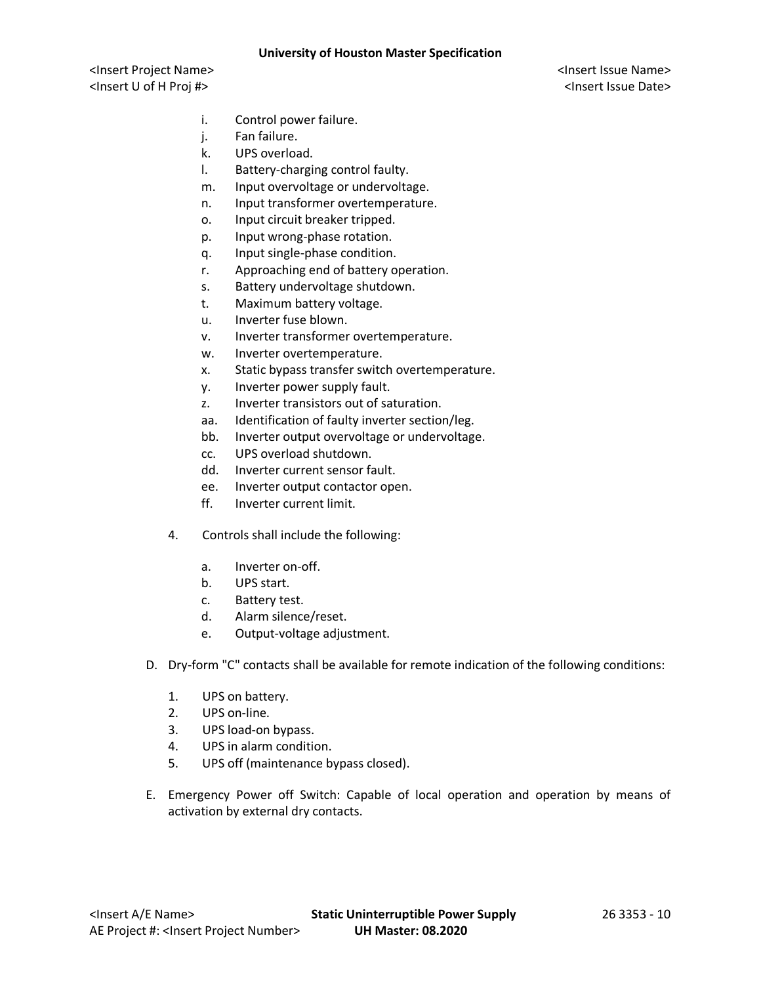- i. Control power failure.
- j. Fan failure.
- k. UPS overload.
- l. Battery-charging control faulty.
- m. Input overvoltage or undervoltage.
- n. Input transformer overtemperature.
- o. Input circuit breaker tripped.
- p. Input wrong-phase rotation.
- q. Input single-phase condition.
- r. Approaching end of battery operation.
- s. Battery undervoltage shutdown.
- t. Maximum battery voltage.
- u. Inverter fuse blown.
- v. Inverter transformer overtemperature.
- w. Inverter overtemperature.
- x. Static bypass transfer switch overtemperature.
- y. Inverter power supply fault.
- z. Inverter transistors out of saturation.
- aa. Identification of faulty inverter section/leg.
- bb. Inverter output overvoltage or undervoltage.
- cc. UPS overload shutdown.
- dd. Inverter current sensor fault.
- ee. Inverter output contactor open.
- ff. Inverter current limit.
- 4. Controls shall include the following:
	- a. Inverter on-off.
	- b. UPS start.
	- c. Battery test.
	- d. Alarm silence/reset.
	- e. Output-voltage adjustment.
- D. Dry-form "C" contacts shall be available for remote indication of the following conditions:
	- 1. UPS on battery.
	- 2. UPS on-line.
	- 3. UPS load-on bypass.
	- 4. UPS in alarm condition.
	- 5. UPS off (maintenance bypass closed).
- E. Emergency Power off Switch: Capable of local operation and operation by means of activation by external dry contacts.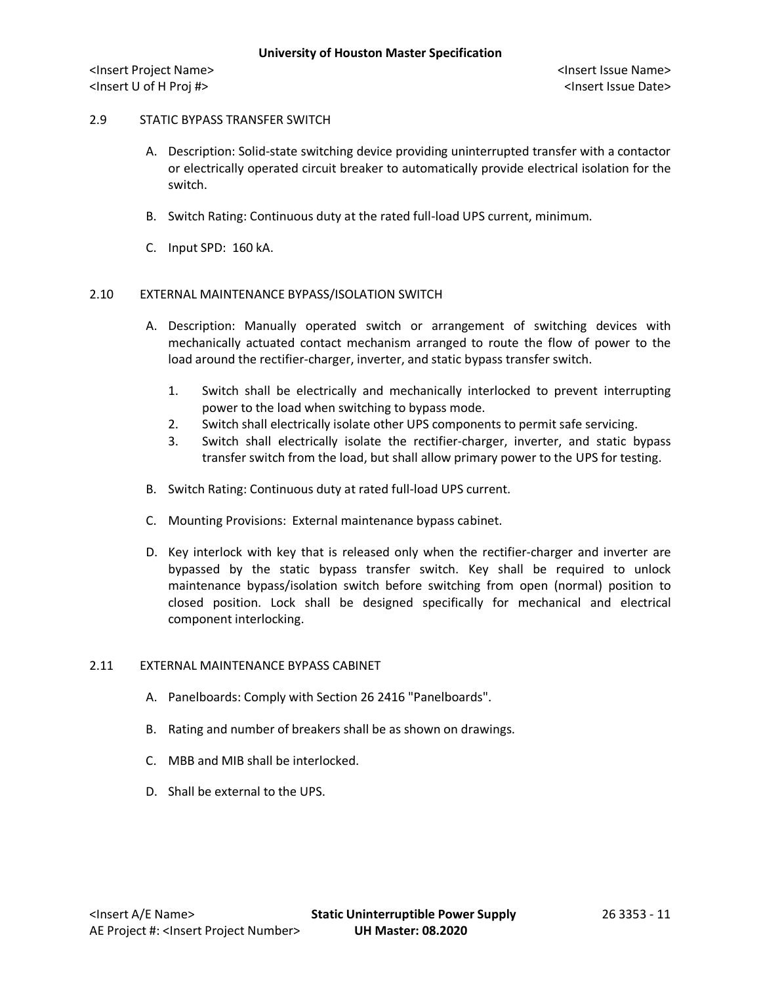## 2.9 STATIC BYPASS TRANSFER SWITCH

- A. Description: Solid-state switching device providing uninterrupted transfer with a contactor or electrically operated circuit breaker to automatically provide electrical isolation for the switch.
- B. Switch Rating: Continuous duty at the rated full-load UPS current, minimum.
- C. Input SPD: 160 kA.

# 2.10 EXTERNAL MAINTENANCE BYPASS/ISOLATION SWITCH

- A. Description: Manually operated switch or arrangement of switching devices with mechanically actuated contact mechanism arranged to route the flow of power to the load around the rectifier-charger, inverter, and static bypass transfer switch.
	- 1. Switch shall be electrically and mechanically interlocked to prevent interrupting power to the load when switching to bypass mode.
	- 2. Switch shall electrically isolate other UPS components to permit safe servicing.
	- 3. Switch shall electrically isolate the rectifier-charger, inverter, and static bypass transfer switch from the load, but shall allow primary power to the UPS for testing.
- B. Switch Rating: Continuous duty at rated full-load UPS current.
- C. Mounting Provisions: External maintenance bypass cabinet.
- D. Key interlock with key that is released only when the rectifier-charger and inverter are bypassed by the static bypass transfer switch. Key shall be required to unlock maintenance bypass/isolation switch before switching from open (normal) position to closed position. Lock shall be designed specifically for mechanical and electrical component interlocking.

## 2.11 EXTERNAL MAINTENANCE BYPASS CABINET

- A. Panelboards: Comply with Section 26 2416 "Panelboards".
- B. Rating and number of breakers shall be as shown on drawings.
- C. MBB and MIB shall be interlocked.
- D. Shall be external to the UPS.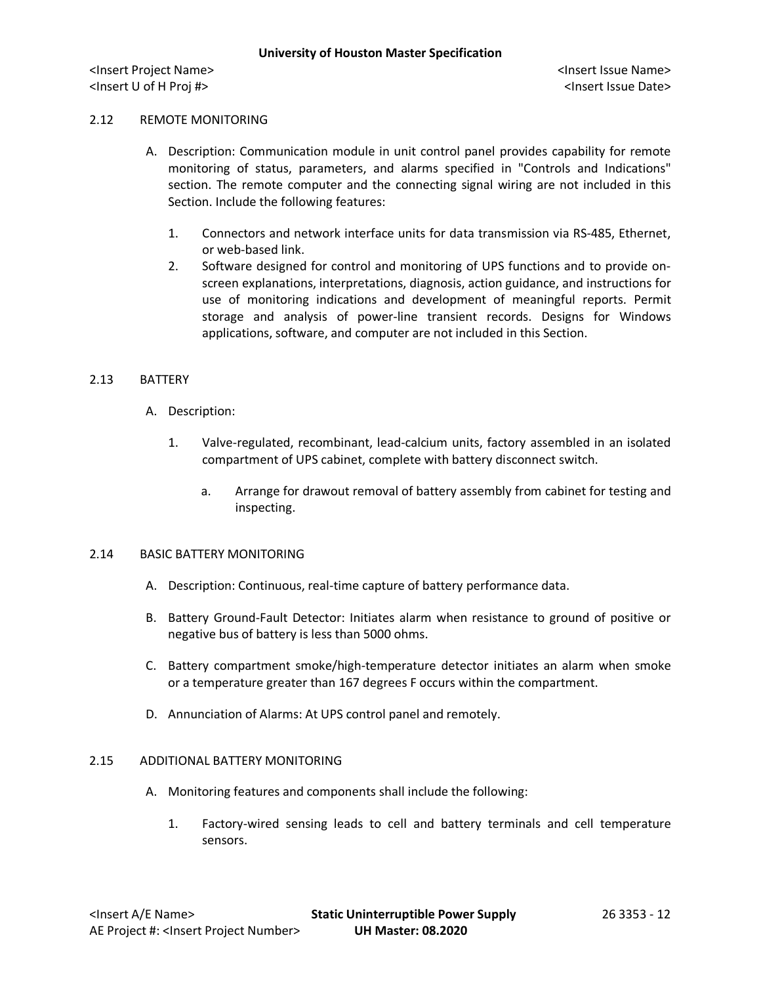## 2.12 REMOTE MONITORING

- A. Description: Communication module in unit control panel provides capability for remote monitoring of status, parameters, and alarms specified in "Controls and Indications" section. The remote computer and the connecting signal wiring are not included in this Section. Include the following features:
	- 1. Connectors and network interface units for data transmission via RS-485, Ethernet, or web-based link.
	- 2. Software designed for control and monitoring of UPS functions and to provide onscreen explanations, interpretations, diagnosis, action guidance, and instructions for use of monitoring indications and development of meaningful reports. Permit storage and analysis of power-line transient records. Designs for Windows applications, software, and computer are not included in this Section.

### 2.13 BATTERY

- A. Description:
	- 1. Valve-regulated, recombinant, lead-calcium units, factory assembled in an isolated compartment of UPS cabinet, complete with battery disconnect switch.
		- a. Arrange for drawout removal of battery assembly from cabinet for testing and inspecting.

### 2.14 BASIC BATTERY MONITORING

- A. Description: Continuous, real-time capture of battery performance data.
- B. Battery Ground-Fault Detector: Initiates alarm when resistance to ground of positive or negative bus of battery is less than 5000 ohms.
- C. Battery compartment smoke/high-temperature detector initiates an alarm when smoke or a temperature greater than 167 degrees F occurs within the compartment.
- D. Annunciation of Alarms: At UPS control panel and remotely.

### 2.15 ADDITIONAL BATTERY MONITORING

- A. Monitoring features and components shall include the following:
	- 1. Factory-wired sensing leads to cell and battery terminals and cell temperature sensors.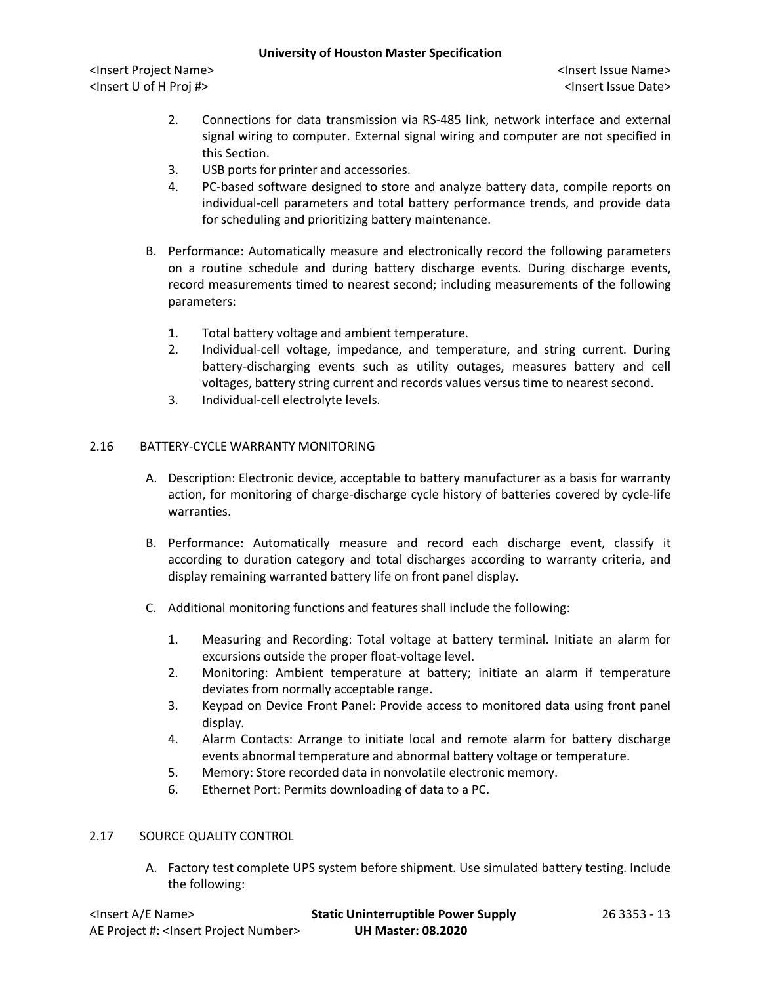<Insert Project Name> <Insert Issue Name> <Insert U of H Proj #> <Insert Issue Date>

- 2. Connections for data transmission via RS-485 link, network interface and external signal wiring to computer. External signal wiring and computer are not specified in this Section.
- 3. USB ports for printer and accessories.
- 4. PC-based software designed to store and analyze battery data, compile reports on individual-cell parameters and total battery performance trends, and provide data for scheduling and prioritizing battery maintenance.
- B. Performance: Automatically measure and electronically record the following parameters on a routine schedule and during battery discharge events. During discharge events, record measurements timed to nearest second; including measurements of the following parameters:
	- 1. Total battery voltage and ambient temperature.
	- 2. Individual-cell voltage, impedance, and temperature, and string current. During battery-discharging events such as utility outages, measures battery and cell voltages, battery string current and records values versus time to nearest second.
	- 3. Individual-cell electrolyte levels.

# 2.16 BATTERY-CYCLE WARRANTY MONITORING

- A. Description: Electronic device, acceptable to battery manufacturer as a basis for warranty action, for monitoring of charge-discharge cycle history of batteries covered by cycle-life warranties.
- B. Performance: Automatically measure and record each discharge event, classify it according to duration category and total discharges according to warranty criteria, and display remaining warranted battery life on front panel display.
- C. Additional monitoring functions and features shall include the following:
	- 1. Measuring and Recording: Total voltage at battery terminal. Initiate an alarm for excursions outside the proper float-voltage level.
	- 2. Monitoring: Ambient temperature at battery; initiate an alarm if temperature deviates from normally acceptable range.
	- 3. Keypad on Device Front Panel: Provide access to monitored data using front panel display.
	- 4. Alarm Contacts: Arrange to initiate local and remote alarm for battery discharge events abnormal temperature and abnormal battery voltage or temperature.
	- 5. Memory: Store recorded data in nonvolatile electronic memory.
	- 6. Ethernet Port: Permits downloading of data to a PC.

### 2.17 SOURCE QUALITY CONTROL

A. Factory test complete UPS system before shipment. Use simulated battery testing. Include the following: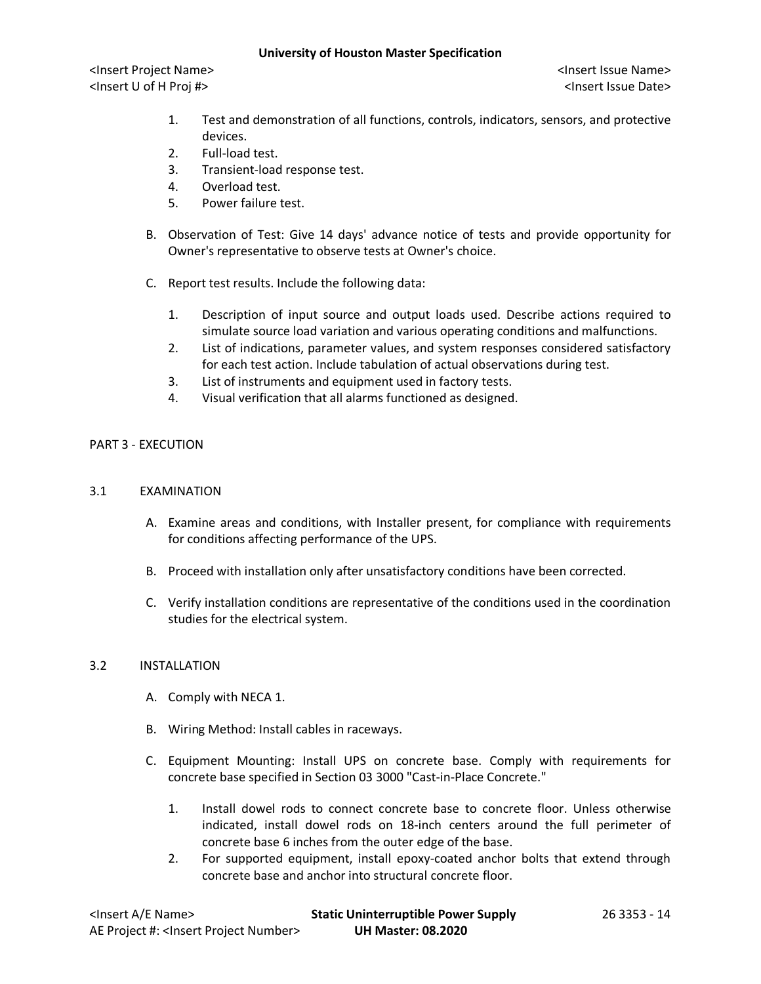<Insert Project Name> <Insert Issue Name> <Insert U of H Proj #> <Insert Issue Date>

- 1. Test and demonstration of all functions, controls, indicators, sensors, and protective devices.
- 2. Full-load test.
- 3. Transient-load response test.
- 4. Overload test.
- 5. Power failure test.
- B. Observation of Test: Give 14 days' advance notice of tests and provide opportunity for Owner's representative to observe tests at Owner's choice.
- C. Report test results. Include the following data:
	- 1. Description of input source and output loads used. Describe actions required to simulate source load variation and various operating conditions and malfunctions.
	- 2. List of indications, parameter values, and system responses considered satisfactory for each test action. Include tabulation of actual observations during test.
	- 3. List of instruments and equipment used in factory tests.
	- 4. Visual verification that all alarms functioned as designed.

# PART 3 - EXECUTION

# 3.1 EXAMINATION

- A. Examine areas and conditions, with Installer present, for compliance with requirements for conditions affecting performance of the UPS.
- B. Proceed with installation only after unsatisfactory conditions have been corrected.
- C. Verify installation conditions are representative of the conditions used in the coordination studies for the electrical system.

### 3.2 INSTALLATION

- A. Comply with NECA 1.
- B. Wiring Method: Install cables in raceways.
- C. Equipment Mounting: Install UPS on concrete base. Comply with requirements for concrete base specified in Section 03 3000 "Cast-in-Place Concrete."
	- 1. Install dowel rods to connect concrete base to concrete floor. Unless otherwise indicated, install dowel rods on 18-inch centers around the full perimeter of concrete base 6 inches from the outer edge of the base.
	- 2. For supported equipment, install epoxy-coated anchor bolts that extend through concrete base and anchor into structural concrete floor.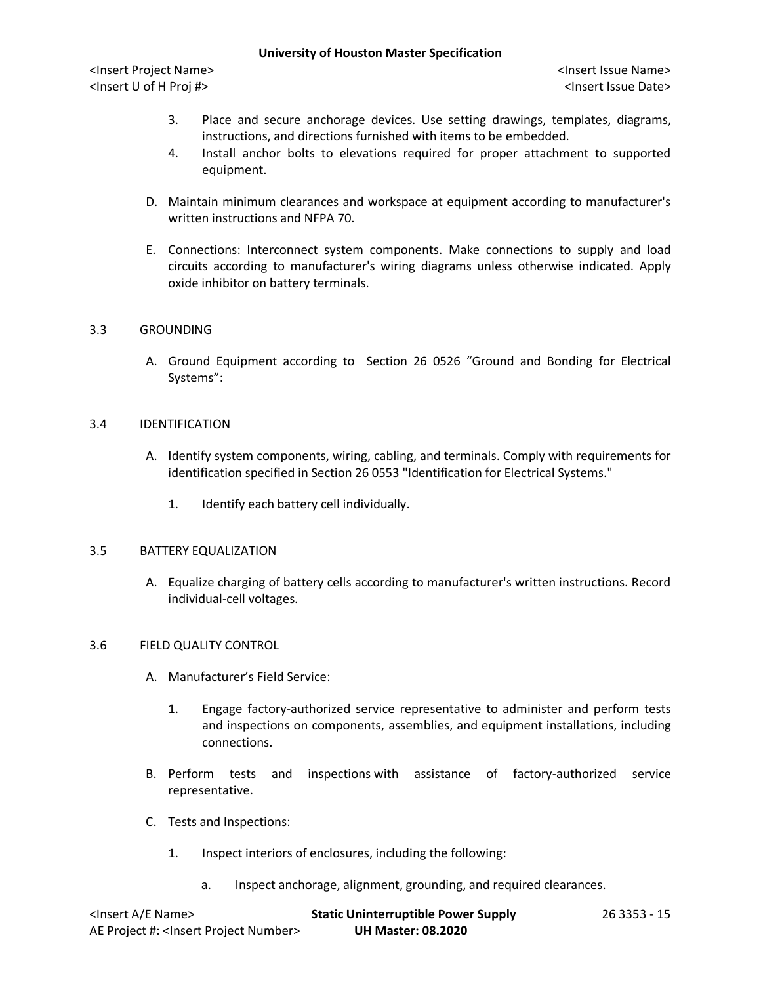<Insert Project Name> <Insert Issue Name> <Insert U of H Proj #> <Insert Issue Date>

- 3. Place and secure anchorage devices. Use setting drawings, templates, diagrams, instructions, and directions furnished with items to be embedded.
- 4. Install anchor bolts to elevations required for proper attachment to supported equipment.
- D. Maintain minimum clearances and workspace at equipment according to manufacturer's written instructions and NFPA 70.
- E. Connections: Interconnect system components. Make connections to supply and load circuits according to manufacturer's wiring diagrams unless otherwise indicated. Apply oxide inhibitor on battery terminals.

## 3.3 GROUNDING

A. Ground Equipment according to Section 26 0526 "Ground and Bonding for Electrical Systems":

# 3.4 IDENTIFICATION

- A. Identify system components, wiring, cabling, and terminals. Comply with requirements for identification specified in Section 26 0553 "Identification for Electrical Systems."
	- 1. Identify each battery cell individually.

### 3.5 BATTERY EQUALIZATION

A. Equalize charging of battery cells according to manufacturer's written instructions. Record individual-cell voltages.

### 3.6 FIELD QUALITY CONTROL

- A. Manufacturer's Field Service:
	- 1. Engage factory-authorized service representative to administer and perform tests and inspections on components, assemblies, and equipment installations, including connections.
- B. Perform tests and inspections with assistance of factory-authorized service representative.
- C. Tests and Inspections:
	- 1. Inspect interiors of enclosures, including the following:
		- a. Inspect anchorage, alignment, grounding, and required clearances.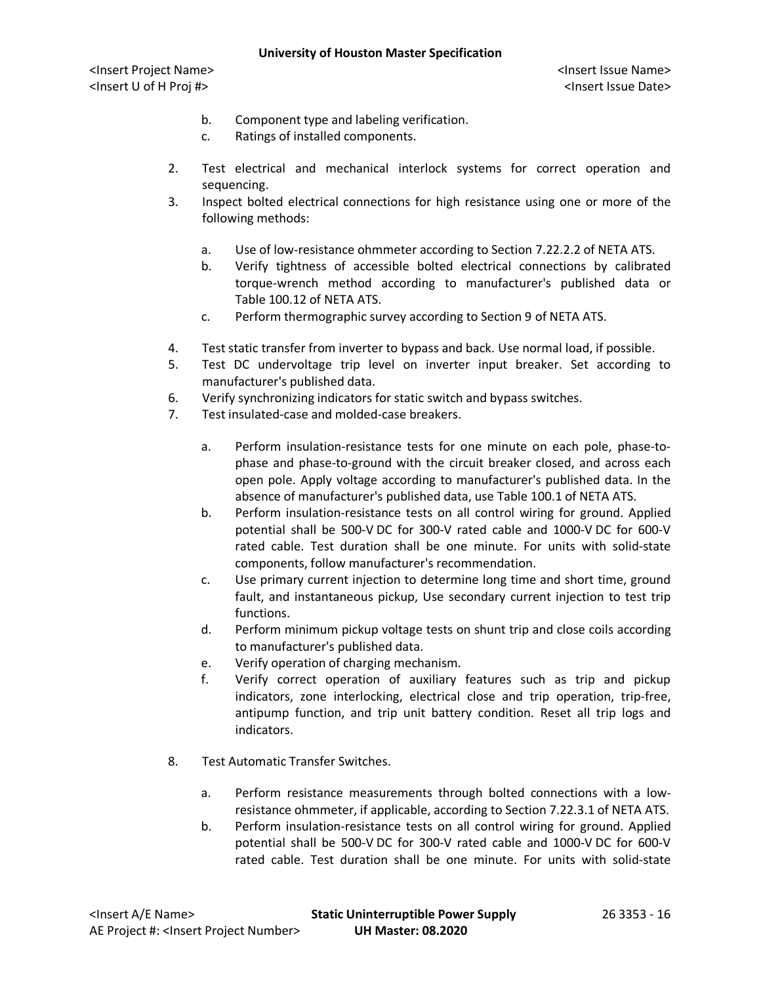- b. Component type and labeling verification.
- c. Ratings of installed components.
- 2. Test electrical and mechanical interlock systems for correct operation and sequencing.
- 3. Inspect bolted electrical connections for high resistance using one or more of the following methods:
	- a. Use of low-resistance ohmmeter according to Section 7.22.2.2 of NETA ATS.
	- b. Verify tightness of accessible bolted electrical connections by calibrated torque-wrench method according to manufacturer's published data or Table 100.12 of NETA ATS.
	- c. Perform thermographic survey according to Section 9 of NETA ATS.
- 4. Test static transfer from inverter to bypass and back. Use normal load, if possible.
- 5. Test DC undervoltage trip level on inverter input breaker. Set according to manufacturer's published data.
- 6. Verify synchronizing indicators for static switch and bypass switches.
- 7. Test insulated-case and molded-case breakers.
	- a. Perform insulation-resistance tests for one minute on each pole, phase-tophase and phase-to-ground with the circuit breaker closed, and across each open pole. Apply voltage according to manufacturer's published data. In the absence of manufacturer's published data, use Table 100.1 of NETA ATS.
	- b. Perform insulation-resistance tests on all control wiring for ground. Applied potential shall be 500-V DC for 300-V rated cable and 1000-V DC for 600-V rated cable. Test duration shall be one minute. For units with solid-state components, follow manufacturer's recommendation.
	- c. Use primary current injection to determine long time and short time, ground fault, and instantaneous pickup, Use secondary current injection to test trip functions.
	- d. Perform minimum pickup voltage tests on shunt trip and close coils according to manufacturer's published data.
	- e. Verify operation of charging mechanism.
	- f. Verify correct operation of auxiliary features such as trip and pickup indicators, zone interlocking, electrical close and trip operation, trip-free, antipump function, and trip unit battery condition. Reset all trip logs and indicators.
- 8. Test Automatic Transfer Switches.
	- a. Perform resistance measurements through bolted connections with a lowresistance ohmmeter, if applicable, according to Section 7.22.3.1 of NETA ATS.
	- b. Perform insulation-resistance tests on all control wiring for ground. Applied potential shall be 500-V DC for 300-V rated cable and 1000-V DC for 600-V rated cable. Test duration shall be one minute. For units with solid-state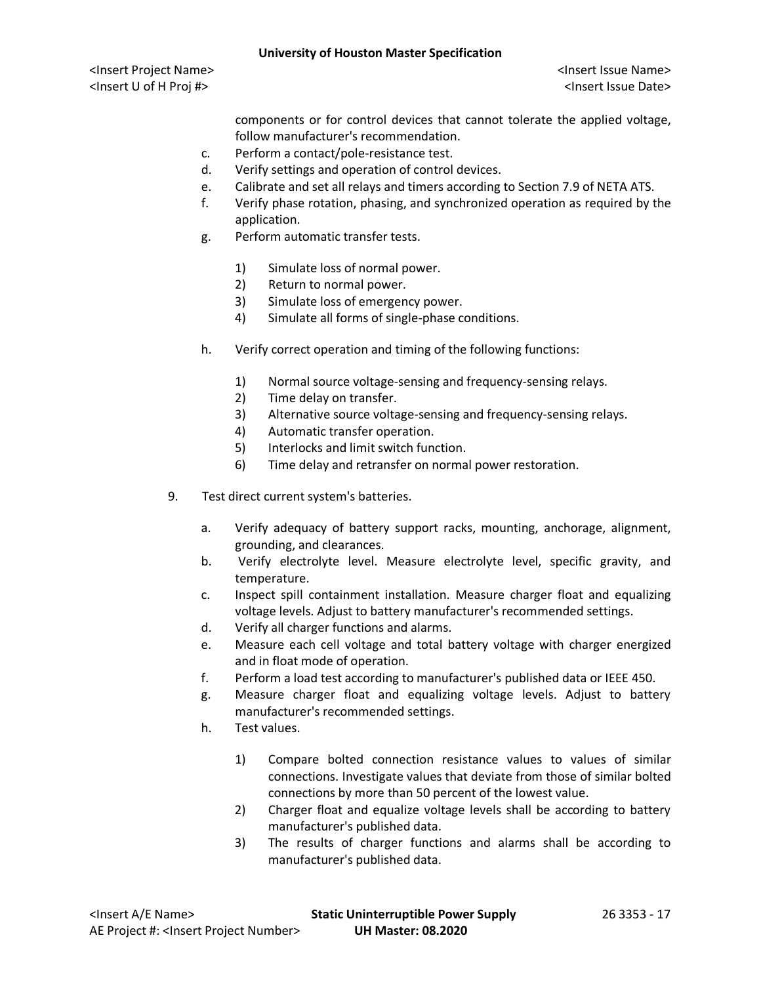components or for control devices that cannot tolerate the applied voltage, follow manufacturer's recommendation.

- c. Perform a contact/pole-resistance test.
- d. Verify settings and operation of control devices.
- e. Calibrate and set all relays and timers according to Section 7.9 of NETA ATS.
- f. Verify phase rotation, phasing, and synchronized operation as required by the application.
- g. Perform automatic transfer tests.
	- 1) Simulate loss of normal power.
	- 2) Return to normal power.
	- 3) Simulate loss of emergency power.
	- 4) Simulate all forms of single-phase conditions.
- h. Verify correct operation and timing of the following functions:
	- 1) Normal source voltage-sensing and frequency-sensing relays.
	- 2) Time delay on transfer.
	- 3) Alternative source voltage-sensing and frequency-sensing relays.
	- 4) Automatic transfer operation.
	- 5) Interlocks and limit switch function.
	- 6) Time delay and retransfer on normal power restoration.
- 9. Test direct current system's batteries.
	- a. Verify adequacy of battery support racks, mounting, anchorage, alignment, grounding, and clearances.
	- b. Verify electrolyte level. Measure electrolyte level, specific gravity, and temperature.
	- c. Inspect spill containment installation. Measure charger float and equalizing voltage levels. Adjust to battery manufacturer's recommended settings.
	- d. Verify all charger functions and alarms.
	- e. Measure each cell voltage and total battery voltage with charger energized and in float mode of operation.
	- f. Perform a load test according to manufacturer's published data or IEEE 450.
	- g. Measure charger float and equalizing voltage levels. Adjust to battery manufacturer's recommended settings.
	- h. Test values.
		- 1) Compare bolted connection resistance values to values of similar connections. Investigate values that deviate from those of similar bolted connections by more than 50 percent of the lowest value.
		- 2) Charger float and equalize voltage levels shall be according to battery manufacturer's published data.
		- 3) The results of charger functions and alarms shall be according to manufacturer's published data.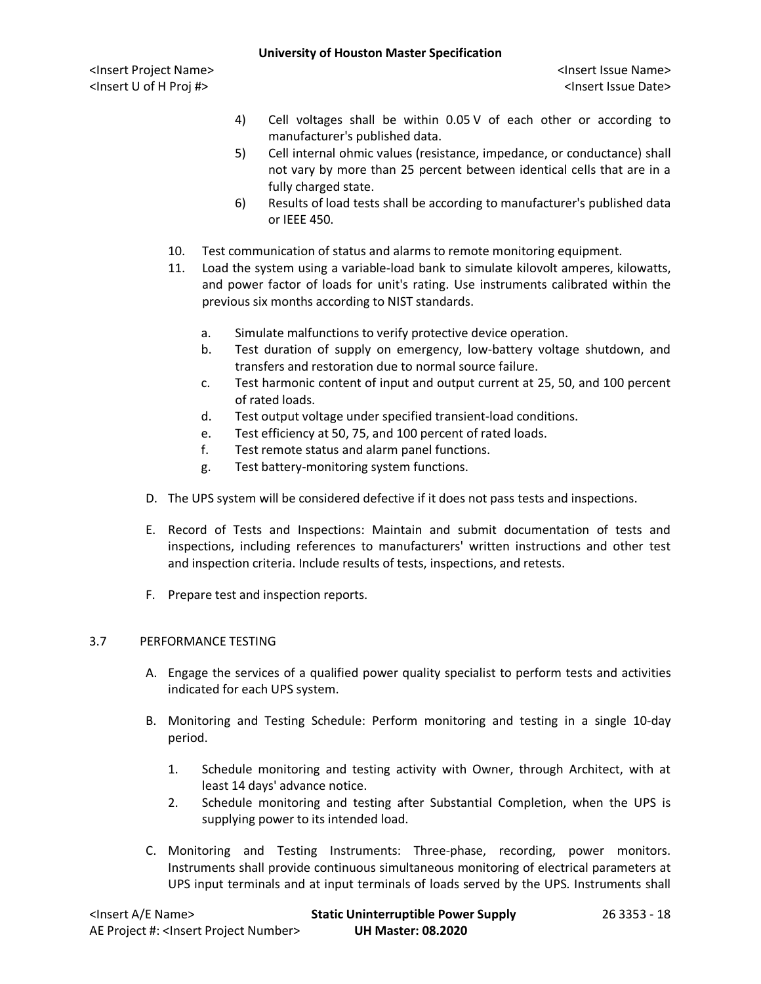- 4) Cell voltages shall be within 0.05 V of each other or according to manufacturer's published data.
- 5) Cell internal ohmic values (resistance, impedance, or conductance) shall not vary by more than 25 percent between identical cells that are in a fully charged state.
- 6) Results of load tests shall be according to manufacturer's published data or IEEE 450.
- 10. Test communication of status and alarms to remote monitoring equipment.
- 11. Load the system using a variable-load bank to simulate kilovolt amperes, kilowatts, and power factor of loads for unit's rating. Use instruments calibrated within the previous six months according to NIST standards.
	- a. Simulate malfunctions to verify protective device operation.
	- b. Test duration of supply on emergency, low-battery voltage shutdown, and transfers and restoration due to normal source failure.
	- c. Test harmonic content of input and output current at 25, 50, and 100 percent of rated loads.
	- d. Test output voltage under specified transient-load conditions.
	- e. Test efficiency at 50, 75, and 100 percent of rated loads.
	- f. Test remote status and alarm panel functions.
	- g. Test battery-monitoring system functions.
- D. The UPS system will be considered defective if it does not pass tests and inspections.
- E. Record of Tests and Inspections: Maintain and submit documentation of tests and inspections, including references to manufacturers' written instructions and other test and inspection criteria. Include results of tests, inspections, and retests.
- F. Prepare test and inspection reports.

# 3.7 PERFORMANCE TESTING

- A. Engage the services of a qualified power quality specialist to perform tests and activities indicated for each UPS system.
- B. Monitoring and Testing Schedule: Perform monitoring and testing in a single 10-day period.
	- 1. Schedule monitoring and testing activity with Owner, through Architect, with at least 14 days' advance notice.
	- 2. Schedule monitoring and testing after Substantial Completion, when the UPS is supplying power to its intended load.
- C. Monitoring and Testing Instruments: Three-phase, recording, power monitors. Instruments shall provide continuous simultaneous monitoring of electrical parameters at UPS input terminals and at input terminals of loads served by the UPS. Instruments shall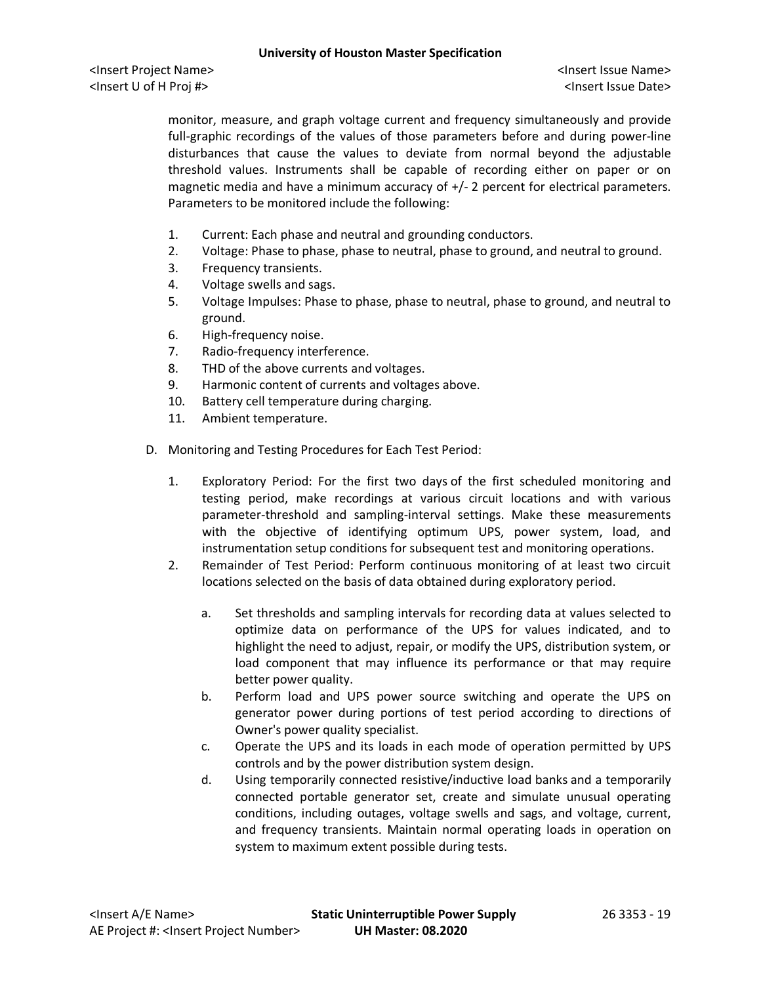monitor, measure, and graph voltage current and frequency simultaneously and provide full-graphic recordings of the values of those parameters before and during power-line disturbances that cause the values to deviate from normal beyond the adjustable threshold values. Instruments shall be capable of recording either on paper or on magnetic media and have a minimum accuracy of +/- 2 percent for electrical parameters. Parameters to be monitored include the following:

- 1. Current: Each phase and neutral and grounding conductors.
- 2. Voltage: Phase to phase, phase to neutral, phase to ground, and neutral to ground.
- 3. Frequency transients.
- 4. Voltage swells and sags.
- 5. Voltage Impulses: Phase to phase, phase to neutral, phase to ground, and neutral to ground.
- 6. High-frequency noise.
- 7. Radio-frequency interference.
- 8. THD of the above currents and voltages.
- 9. Harmonic content of currents and voltages above.
- 10. Battery cell temperature during charging.
- 11. Ambient temperature.
- D. Monitoring and Testing Procedures for Each Test Period:
	- 1. Exploratory Period: For the first two days of the first scheduled monitoring and testing period, make recordings at various circuit locations and with various parameter-threshold and sampling-interval settings. Make these measurements with the objective of identifying optimum UPS, power system, load, and instrumentation setup conditions for subsequent test and monitoring operations.
	- 2. Remainder of Test Period: Perform continuous monitoring of at least two circuit locations selected on the basis of data obtained during exploratory period.
		- a. Set thresholds and sampling intervals for recording data at values selected to optimize data on performance of the UPS for values indicated, and to highlight the need to adjust, repair, or modify the UPS, distribution system, or load component that may influence its performance or that may require better power quality.
		- b. Perform load and UPS power source switching and operate the UPS on generator power during portions of test period according to directions of Owner's power quality specialist.
		- c. Operate the UPS and its loads in each mode of operation permitted by UPS controls and by the power distribution system design.
		- d. Using temporarily connected resistive/inductive load banks and a temporarily connected portable generator set, create and simulate unusual operating conditions, including outages, voltage swells and sags, and voltage, current, and frequency transients. Maintain normal operating loads in operation on system to maximum extent possible during tests.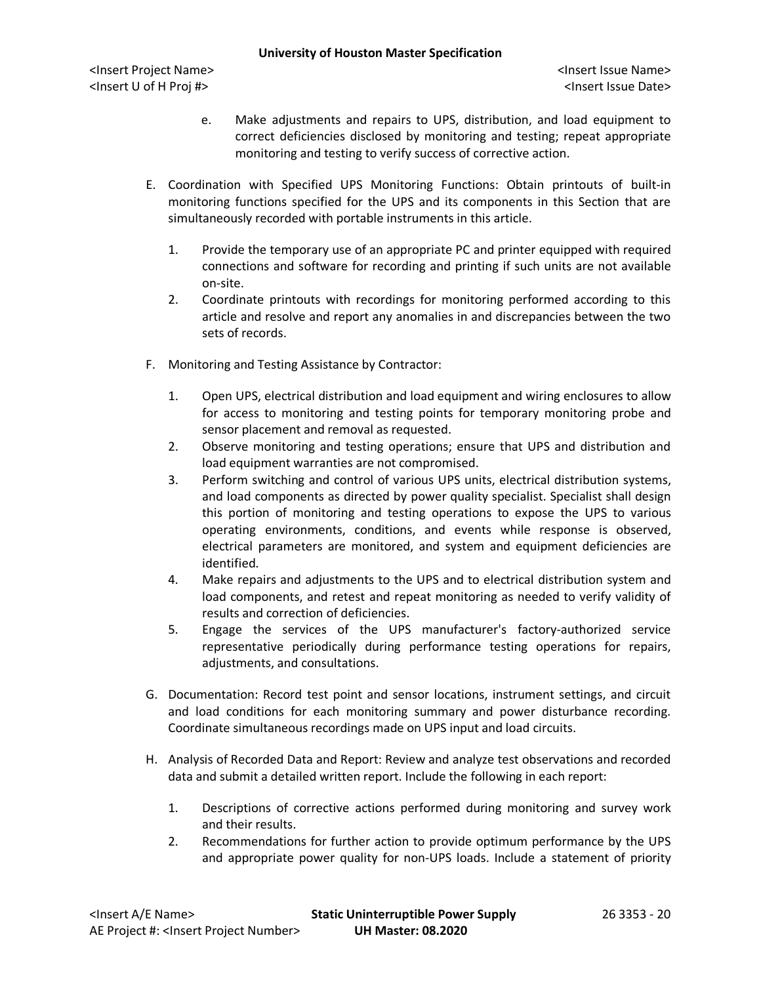- e. Make adjustments and repairs to UPS, distribution, and load equipment to correct deficiencies disclosed by monitoring and testing; repeat appropriate monitoring and testing to verify success of corrective action.
- E. Coordination with Specified UPS Monitoring Functions: Obtain printouts of built-in monitoring functions specified for the UPS and its components in this Section that are simultaneously recorded with portable instruments in this article.
	- 1. Provide the temporary use of an appropriate PC and printer equipped with required connections and software for recording and printing if such units are not available on-site.
	- 2. Coordinate printouts with recordings for monitoring performed according to this article and resolve and report any anomalies in and discrepancies between the two sets of records.
- F. Monitoring and Testing Assistance by Contractor:
	- 1. Open UPS, electrical distribution and load equipment and wiring enclosures to allow for access to monitoring and testing points for temporary monitoring probe and sensor placement and removal as requested.
	- 2. Observe monitoring and testing operations; ensure that UPS and distribution and load equipment warranties are not compromised.
	- 3. Perform switching and control of various UPS units, electrical distribution systems, and load components as directed by power quality specialist. Specialist shall design this portion of monitoring and testing operations to expose the UPS to various operating environments, conditions, and events while response is observed, electrical parameters are monitored, and system and equipment deficiencies are identified.
	- 4. Make repairs and adjustments to the UPS and to electrical distribution system and load components, and retest and repeat monitoring as needed to verify validity of results and correction of deficiencies.
	- 5. Engage the services of the UPS manufacturer's factory-authorized service representative periodically during performance testing operations for repairs, adjustments, and consultations.
- G. Documentation: Record test point and sensor locations, instrument settings, and circuit and load conditions for each monitoring summary and power disturbance recording. Coordinate simultaneous recordings made on UPS input and load circuits.
- H. Analysis of Recorded Data and Report: Review and analyze test observations and recorded data and submit a detailed written report. Include the following in each report:
	- 1. Descriptions of corrective actions performed during monitoring and survey work and their results.
	- 2. Recommendations for further action to provide optimum performance by the UPS and appropriate power quality for non-UPS loads. Include a statement of priority